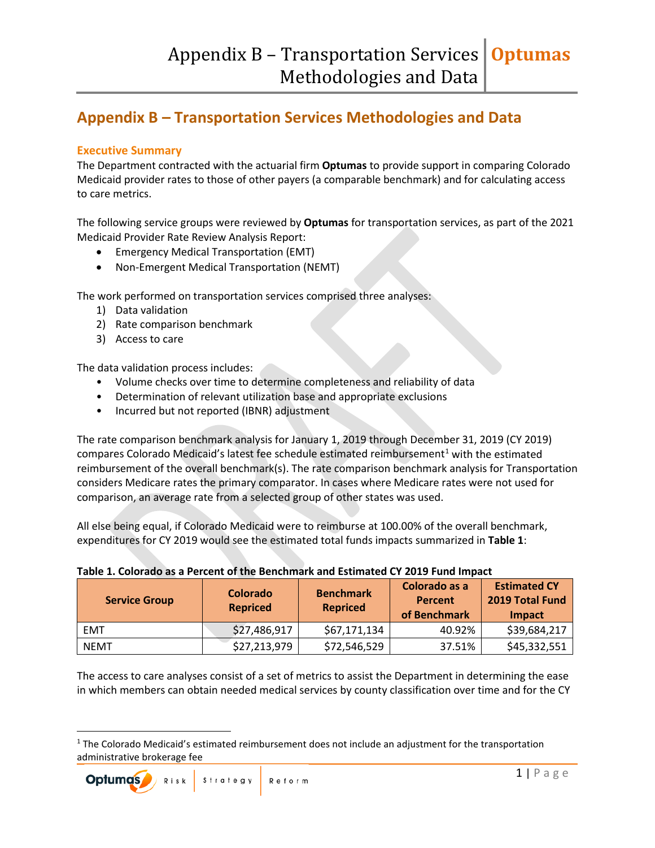# **Appendix B – Transportation Services Methodologies and Data**

#### **Executive Summary**

The Department contracted with the actuarial firm **Optumas** to provide support in comparing Colorado Medicaid provider rates to those of other payers (a comparable benchmark) and for calculating access to care metrics.

The following service groups were reviewed by **Optumas** for transportation services, as part of the 2021 Medicaid Provider Rate Review Analysis Report:

- Emergency Medical Transportation (EMT)
- Non-Emergent Medical Transportation (NEMT)

The work performed on transportation services comprised three analyses:

- 1) Data validation
- 2) Rate comparison benchmark
- 3) Access to care

The data validation process includes:

- Volume checks over time to determine completeness and reliability of data
- Determination of relevant utilization base and appropriate exclusions
- Incurred but not reported (IBNR) adjustment

The rate comparison benchmark analysis for January 1, 2019 through December 31, 2019 (CY 2019) compares Colorado Medicaid's latest fee schedule estimated reimbursement<sup>[1](#page-0-0)</sup> with the estimated reimbursement of the overall benchmark(s). The rate comparison benchmark analysis for Transportation considers Medicare rates the primary comparator. In cases where Medicare rates were not used for comparison, an average rate from a selected group of other states was used.

All else being equal, if Colorado Medicaid were to reimburse at 100.00% of the overall benchmark, expenditures for CY 2019 would see the estimated total funds impacts summarized in **Table 1**:

| <b>Service Group</b> | <b>Colorado</b><br><b>Repriced</b> | <b>Benchmark</b><br><b>Repriced</b> | Colorado as a<br>Percent<br>of Benchmark | <b>Estimated CY</b><br>2019 Total Fund<br>Impact |
|----------------------|------------------------------------|-------------------------------------|------------------------------------------|--------------------------------------------------|
| EMT                  | \$27,486,917                       | \$67,171,134                        | 40.92%                                   | \$39,684,217                                     |
| <b>NEMT</b>          | \$27,213,979                       | \$72,546,529                        | 37.51%                                   | \$45,332,551                                     |

#### **Table 1. Colorado as a Percent of the Benchmark and Estimated CY 2019 Fund Impact**

The access to care analyses consist of a set of metrics to assist the Department in determining the ease in which members can obtain needed medical services by county classification over time and for the CY

<span id="page-0-0"></span> $<sup>1</sup>$  The Colorado Medicaid's estimated reimbursement does not include an adjustment for the transportation</sup> administrative brokerage fee

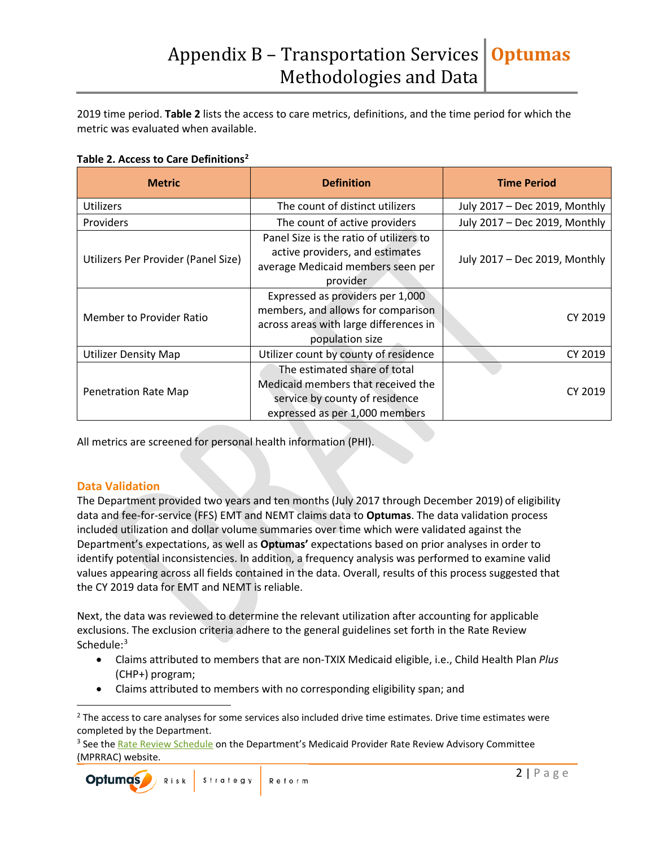2019 time period. **Table 2** lists the access to care metrics, definitions, and the time period for which the metric was evaluated when available.

**Table 2. Access to Care Definitions[2](#page-1-0)**

| <b>Metric</b>                       | <b>Definition</b>                                                                                                                      | <b>Time Period</b>            |  |
|-------------------------------------|----------------------------------------------------------------------------------------------------------------------------------------|-------------------------------|--|
| <b>Utilizers</b>                    | The count of distinct utilizers                                                                                                        | July 2017 - Dec 2019, Monthly |  |
| <b>Providers</b>                    | The count of active providers                                                                                                          | July 2017 - Dec 2019, Monthly |  |
| Utilizers Per Provider (Panel Size) | Panel Size is the ratio of utilizers to<br>active providers, and estimates<br>average Medicaid members seen per<br>provider            | July 2017 - Dec 2019, Monthly |  |
| Member to Provider Ratio            | Expressed as providers per 1,000<br>members, and allows for comparison<br>across areas with large differences in<br>population size    | CY 2019                       |  |
| <b>Utilizer Density Map</b>         | Utilizer count by county of residence                                                                                                  | CY 2019                       |  |
| <b>Penetration Rate Map</b>         | The estimated share of total<br>Medicaid members that received the<br>service by county of residence<br>expressed as per 1,000 members | CY 2019                       |  |

All metrics are screened for personal health information (PHI).

#### **Data Validation**

The Department provided two years and ten months (July 2017 through December 2019) of eligibility data and fee-for-service (FFS) EMT and NEMT claims data to **Optumas**. The data validation process included utilization and dollar volume summaries over time which were validated against the Department's expectations, as well as **Optumas'** expectations based on prior analyses in order to identify potential inconsistencies. In addition, a frequency analysis was performed to examine valid values appearing across all fields contained in the data. Overall, results of this process suggested that the CY 2019 data for EMT and NEMT is reliable.

Next, the data was reviewed to determine the relevant utilization after accounting for applicable exclusions. The exclusion criteria adhere to the general guidelines set forth in the Rate Review Schedule:<sup>[3](#page-1-1)</sup>

- Claims attributed to members that are non-TXIX Medicaid eligible, i.e., Child Health Plan *Plus* (CHP+) program;
- Claims attributed to members with no corresponding eligibility span; and

<span id="page-1-1"></span><sup>&</sup>lt;sup>3</sup> See the [Rate Review Schedule](https://www.colorado.gov/pacific/sites/default/files/Updated%20Rate%20Review%20Schedule_Final_July2019.pdf) on the Department's Medicaid Provider Rate Review Advisory Committee (MPRRAC) website.



<span id="page-1-0"></span><sup>&</sup>lt;sup>2</sup> The access to care analyses for some services also included drive time estimates. Drive time estimates were completed by the Department.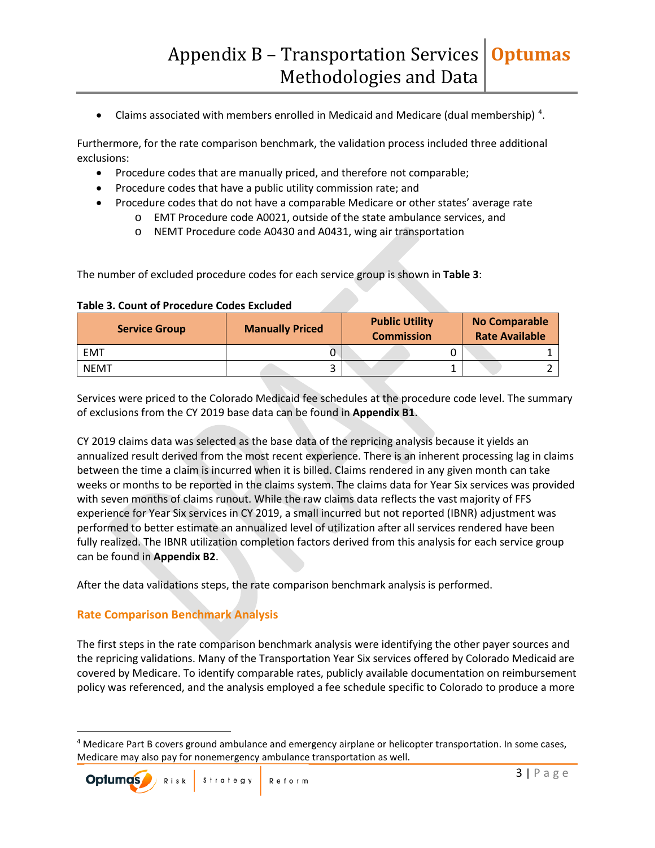• Claims associated with members enrolled in Medicaid and Medicare (dual membership)<sup>[4](#page-2-0)</sup>.

Furthermore, for the rate comparison benchmark, the validation process included three additional exclusions:

- Procedure codes that are manually priced, and therefore not comparable;
- Procedure codes that have a public utility commission rate; and
- Procedure codes that do not have a comparable Medicare or other states' average rate
	- o EMT Procedure code A0021, outside of the state ambulance services, and
	- o NEMT Procedure code A0430 and A0431, wing air transportation

The number of excluded procedure codes for each service group is shown in **Table 3**:

| <b>Service Group</b> | <b>Manually Priced</b> | <b>Public Utility</b><br><b>Commission</b> | <b>No Comparable</b><br><b>Rate Available</b> |  |
|----------------------|------------------------|--------------------------------------------|-----------------------------------------------|--|
| <b>EMT</b>           |                        |                                            |                                               |  |
| <b>NEMT</b>          |                        |                                            |                                               |  |

#### **Table 3. Count of Procedure Codes Excluded**

Services were priced to the Colorado Medicaid fee schedules at the procedure code level. The summary of exclusions from the CY 2019 base data can be found in **Appendix B1**.

CY 2019 claims data was selected as the base data of the repricing analysis because it yields an annualized result derived from the most recent experience. There is an inherent processing lag in claims between the time a claim is incurred when it is billed. Claims rendered in any given month can take weeks or months to be reported in the claims system. The claims data for Year Six services was provided with seven months of claims runout. While the raw claims data reflects the vast majority of FFS experience for Year Six services in CY 2019, a small incurred but not reported (IBNR) adjustment was performed to better estimate an annualized level of utilization after all services rendered have been fully realized. The IBNR utilization completion factors derived from this analysis for each service group can be found in **Appendix B2**.

After the data validations steps, the rate comparison benchmark analysis is performed.

#### **Rate Comparison Benchmark Analysis**

The first steps in the rate comparison benchmark analysis were identifying the other payer sources and the repricing validations. Many of the Transportation Year Six services offered by Colorado Medicaid are covered by Medicare. To identify comparable rates, publicly available documentation on reimbursement policy was referenced, and the analysis employed a fee schedule specific to Colorado to produce a more

<span id="page-2-0"></span><sup>&</sup>lt;sup>4</sup> Medicare Part B covers ground ambulance and emergency airplane or helicopter transportation. In some cases, Medicare may also pay for nonemergency ambulance transportation as well.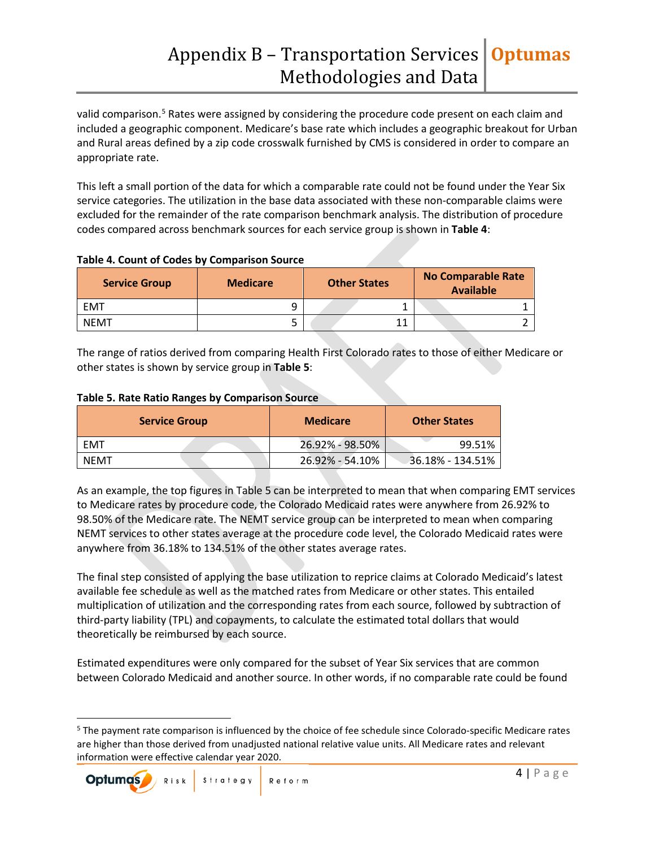valid comparison.<sup>[5](#page-3-0)</sup> Rates were assigned by considering the procedure code present on each claim and included a geographic component. Medicare's base rate which includes a geographic breakout for Urban and Rural areas defined by a zip code crosswalk furnished by CMS is considered in order to compare an appropriate rate.

This left a small portion of the data for which a comparable rate could not be found under the Year Six service categories. The utilization in the base data associated with these non-comparable claims were excluded for the remainder of the rate comparison benchmark analysis. The distribution of procedure codes compared across benchmark sources for each service group is shown in **Table 4**:

| <b>Service Group</b> | <b>Medicare</b> | <b>Other States</b> | No Comparable Rate<br><b>Available</b> |  |
|----------------------|-----------------|---------------------|----------------------------------------|--|
| <b>EMT</b>           |                 |                     |                                        |  |
| <b>NEMT</b>          |                 |                     |                                        |  |

#### **Table 4. Count of Codes by Comparison Source**

The range of ratios derived from comparing Health First Colorado rates to those of either Medicare or other states is shown by service group in **Table 5**:

#### **Table 5. Rate Ratio Ranges by Comparison Source**

| <b>Service Group</b> | <b>Medicare</b> | <b>Other States</b> |  |
|----------------------|-----------------|---------------------|--|
| EMT                  | 26.92% - 98.50% | 99.51%              |  |
| <b>NEMT</b>          | 26.92% - 54.10% | 36.18% - 134.51%    |  |

As an example, the top figures in Table 5 can be interpreted to mean that when comparing EMT services to Medicare rates by procedure code, the Colorado Medicaid rates were anywhere from 26.92% to 98.50% of the Medicare rate. The NEMT service group can be interpreted to mean when comparing NEMT services to other states average at the procedure code level, the Colorado Medicaid rates were anywhere from 36.18% to 134.51% of the other states average rates.

The final step consisted of applying the base utilization to reprice claims at Colorado Medicaid's latest available fee schedule as well as the matched rates from Medicare or other states. This entailed multiplication of utilization and the corresponding rates from each source, followed by subtraction of third-party liability (TPL) and copayments, to calculate the estimated total dollars that would theoretically be reimbursed by each source.

Estimated expenditures were only compared for the subset of Year Six services that are common between Colorado Medicaid and another source. In other words, if no comparable rate could be found

<span id="page-3-0"></span> <sup>5</sup> The payment rate comparison is influenced by the choice of fee schedule since Colorado-specific Medicare rates are higher than those derived from unadjusted national relative value units. All Medicare rates and relevant information were effective calendar year 2020.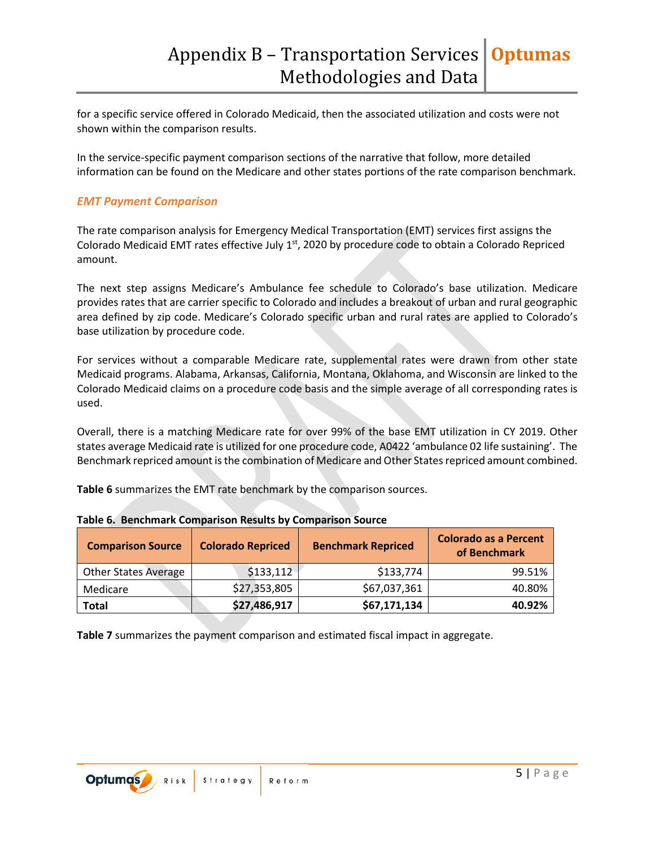for a specific service offered in Colorado Medicaid, then the associated utilization and costs were not shown within the comparison results.

In the service-specific payment comparison sections of the narrative that follow, more detailed information can be found on the Medicare and other states portions of the rate comparison benchmark.

#### *EMT Payment Comparison*

The rate comparison analysis for Emergency Medical Transportation (EMT) services first assigns the Colorado Medicaid EMT rates effective July 1<sup>st</sup>, 2020 by procedure code to obtain a Colorado Repriced amount.

The next step assigns Medicare's Ambulance fee schedule to Colorado's base utilization. Medicare provides rates that are carrier specific to Colorado and includes a breakout of urban and rural geographic area defined by zip code. Medicare's Colorado specific urban and rural rates are applied to Colorado's base utilization by procedure code.

For services without a comparable Medicare rate, supplemental rates were drawn from other state Medicaid programs. Alabama, Arkansas, California, Montana, Oklahoma, and Wisconsin are linked to the Colorado Medicaid claims on a procedure code basis and the simple average of all corresponding rates is used.

Overall, there is a matching Medicare rate for over 99% of the base EMT utilization in CY 2019. Other states average Medicaid rate is utilized for one procedure code, A0422 'ambulance 02 life sustaining'. The Benchmark repriced amount is the combination of Medicare and Other States repriced amount combined.

**Table 6** summarizes the EMT rate benchmark by the comparison sources.

| <b>Comparison Source</b>    | <b>Colorado Repriced</b> | <b>Benchmark Repriced</b> | <b>Colorado as a Percent</b><br>of Benchmark |
|-----------------------------|--------------------------|---------------------------|----------------------------------------------|
| <b>Other States Average</b> | \$133,112                | \$133,774                 | 99.51%                                       |
| Medicare                    | \$27,353,805             | \$67,037,361              | 40.80%                                       |
| <b>Total</b>                | \$27,486,917             | \$67,171,134              | 40.92%                                       |

**Table 6. Benchmark Comparison Results by Comparison Source**

**Table 7** summarizes the payment comparison and estimated fiscal impact in aggregate.

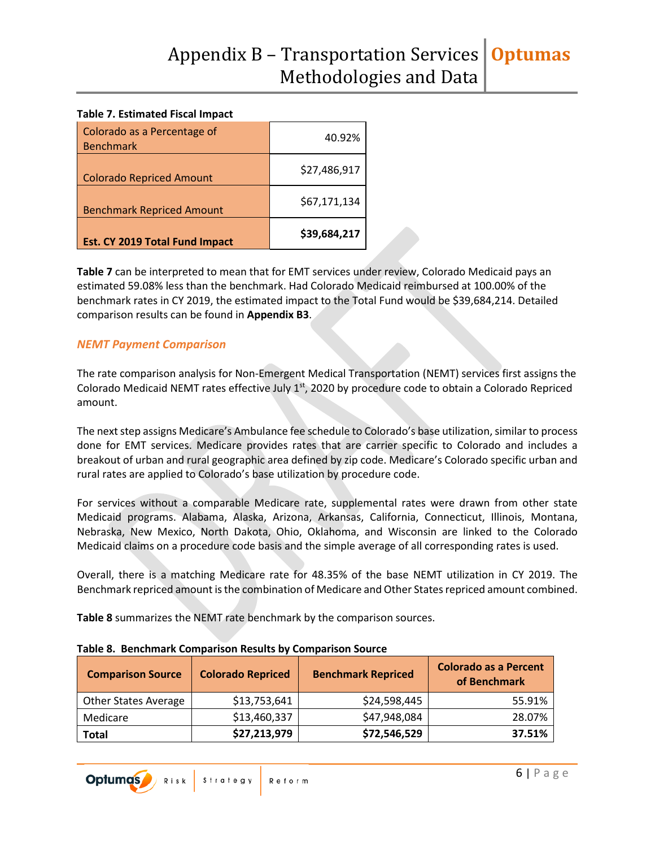#### **Table 7. Estimated Fiscal Impact**

| Colorado as a Percentage of<br><b>Benchmark</b> | 40.92%       |
|-------------------------------------------------|--------------|
| <b>Colorado Repriced Amount</b>                 | \$27,486,917 |
| <b>Benchmark Repriced Amount</b>                | \$67,171,134 |
| <b>Est. CY 2019 Total Fund Impact</b>           | \$39,684,217 |

**Table 7** can be interpreted to mean that for EMT services under review, Colorado Medicaid pays an estimated 59.08% less than the benchmark. Had Colorado Medicaid reimbursed at 100.00% of the benchmark rates in CY 2019, the estimated impact to the Total Fund would be \$39,684,214. Detailed comparison results can be found in **Appendix B3**.

#### *NEMT Payment Comparison*

The rate comparison analysis for Non-Emergent Medical Transportation (NEMT) services first assigns the Colorado Medicaid NEMT rates effective July 1<sup>st</sup>, 2020 by procedure code to obtain a Colorado Repriced amount.

The next step assigns Medicare's Ambulance fee schedule to Colorado's base utilization, similar to process done for EMT services. Medicare provides rates that are carrier specific to Colorado and includes a breakout of urban and rural geographic area defined by zip code. Medicare's Colorado specific urban and rural rates are applied to Colorado's base utilization by procedure code.

For services without a comparable Medicare rate, supplemental rates were drawn from other state Medicaid programs. Alabama, Alaska, Arizona, Arkansas, California, Connecticut, Illinois, Montana, Nebraska, New Mexico, North Dakota, Ohio, Oklahoma, and Wisconsin are linked to the Colorado Medicaid claims on a procedure code basis and the simple average of all corresponding rates is used.

Overall, there is a matching Medicare rate for 48.35% of the base NEMT utilization in CY 2019. The Benchmark repriced amount is the combination of Medicare and Other States repriced amount combined.

**Table 8** summarizes the NEMT rate benchmark by the comparison sources.

| <b>Comparison Source</b>    | <b>Colorado Repriced</b> | <b>Benchmark Repriced</b> | <b>Colorado as a Percent</b><br>of Benchmark |
|-----------------------------|--------------------------|---------------------------|----------------------------------------------|
| <b>Other States Average</b> | \$13,753,641             | \$24,598,445              | 55.91%                                       |
| Medicare                    | \$13,460,337             | \$47,948,084              | 28.07%                                       |
| <b>Total</b>                | \$27,213,979             | \$72,546,529              | 37.51%                                       |

#### **Table 8. Benchmark Comparison Results by Comparison Source**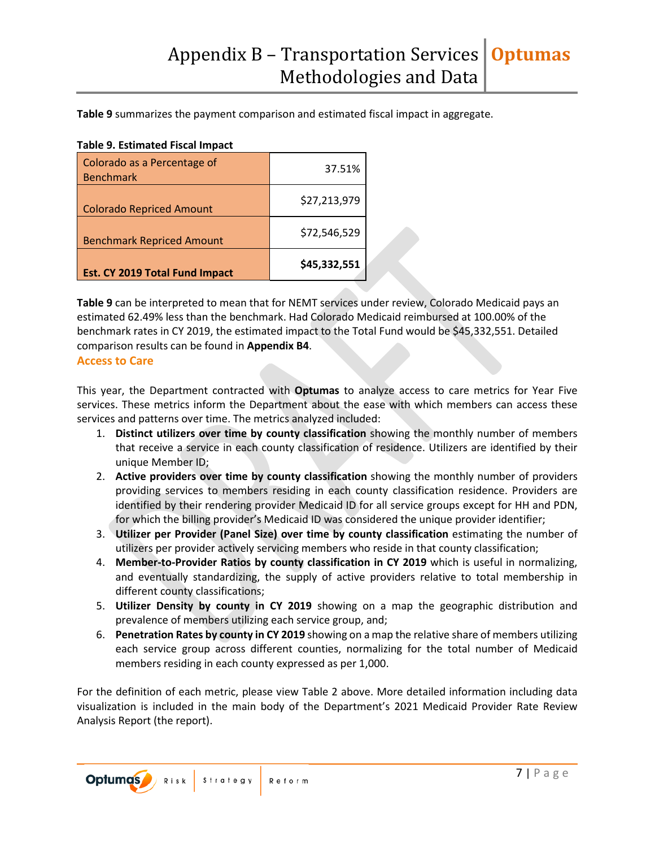**Table 9** summarizes the payment comparison and estimated fiscal impact in aggregate.

#### **Table 9. Estimated Fiscal Impact**

| Colorado as a Percentage of<br><b>Benchmark</b> | 37.51%       |
|-------------------------------------------------|--------------|
| <b>Colorado Repriced Amount</b>                 | \$27,213,979 |
| <b>Benchmark Repriced Amount</b>                | \$72,546,529 |
| Est. CY 2019 Total Fund Impact                  | \$45,332,551 |

**Table 9** can be interpreted to mean that for NEMT services under review, Colorado Medicaid pays an estimated 62.49% less than the benchmark. Had Colorado Medicaid reimbursed at 100.00% of the benchmark rates in CY 2019, the estimated impact to the Total Fund would be \$45,332,551. Detailed comparison results can be found in **Appendix B4**.

#### **Access to Care**

This year, the Department contracted with **Optumas** to analyze access to care metrics for Year Five services. These metrics inform the Department about the ease with which members can access these services and patterns over time. The metrics analyzed included:

- 1. **Distinct utilizers over time by county classification** showing the monthly number of members that receive a service in each county classification of residence. Utilizers are identified by their unique Member ID;
- 2. **Active providers over time by county classification** showing the monthly number of providers providing services to members residing in each county classification residence. Providers are identified by their rendering provider Medicaid ID for all service groups except for HH and PDN, for which the billing provider's Medicaid ID was considered the unique provider identifier;
- 3. **Utilizer per Provider (Panel Size) over time by county classification** estimating the number of utilizers per provider actively servicing members who reside in that county classification;
- 4. **Member-to-Provider Ratios by county classification in CY 2019** which is useful in normalizing, and eventually standardizing, the supply of active providers relative to total membership in different county classifications;
- 5. **Utilizer Density by county in CY 2019** showing on a map the geographic distribution and prevalence of members utilizing each service group, and;
- 6. **Penetration Rates by county in CY 2019** showing on a map the relative share of members utilizing each service group across different counties, normalizing for the total number of Medicaid members residing in each county expressed as per 1,000.

For the definition of each metric, please view Table 2 above. More detailed information including data visualization is included in the main body of the Department's 2021 Medicaid Provider Rate Review Analysis Report (the report).

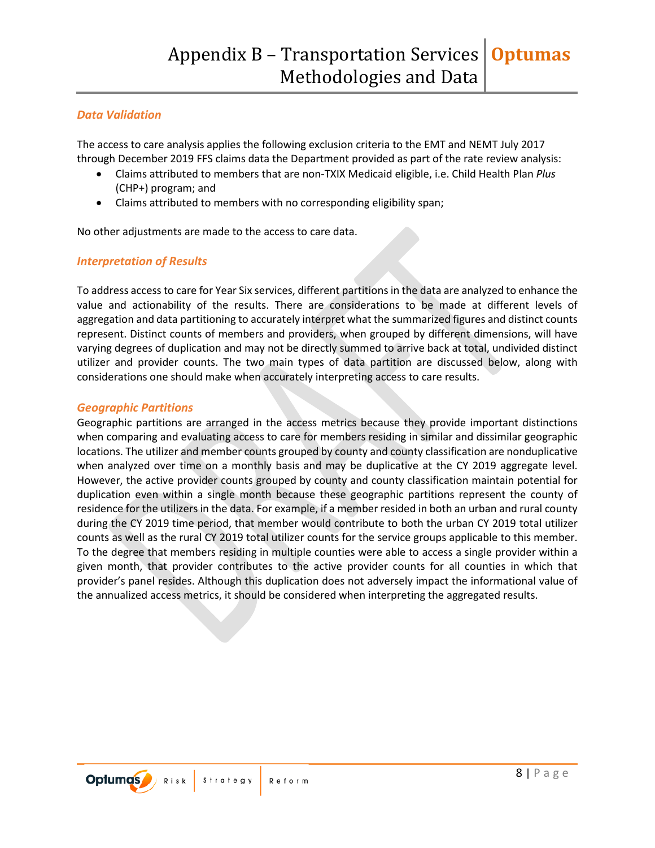#### *Data Validation*

The access to care analysis applies the following exclusion criteria to the EMT and NEMT July 2017 through December 2019 FFS claims data the Department provided as part of the rate review analysis:

- Claims attributed to members that are non-TXIX Medicaid eligible, i.e. Child Health Plan *Plus* (CHP+) program; and
- Claims attributed to members with no corresponding eligibility span;

No other adjustments are made to the access to care data.

#### *Interpretation of Results*

To address access to care for Year Six services, different partitions in the data are analyzed to enhance the value and actionability of the results. There are considerations to be made at different levels of aggregation and data partitioning to accurately interpret what the summarized figures and distinct counts represent. Distinct counts of members and providers, when grouped by different dimensions, will have varying degrees of duplication and may not be directly summed to arrive back at total, undivided distinct utilizer and provider counts. The two main types of data partition are discussed below, along with considerations one should make when accurately interpreting access to care results.

#### *Geographic Partitions*

Geographic partitions are arranged in the access metrics because they provide important distinctions when comparing and evaluating access to care for members residing in similar and dissimilar geographic locations. The utilizer and member counts grouped by county and county classification are nonduplicative when analyzed over time on a monthly basis and may be duplicative at the CY 2019 aggregate level. However, the active provider counts grouped by county and county classification maintain potential for duplication even within a single month because these geographic partitions represent the county of residence for the utilizers in the data. For example, if a member resided in both an urban and rural county during the CY 2019 time period, that member would contribute to both the urban CY 2019 total utilizer counts as well as the rural CY 2019 total utilizer counts for the service groups applicable to this member. To the degree that members residing in multiple counties were able to access a single provider within a given month, that provider contributes to the active provider counts for all counties in which that provider's panel resides. Although this duplication does not adversely impact the informational value of the annualized access metrics, it should be considered when interpreting the aggregated results.

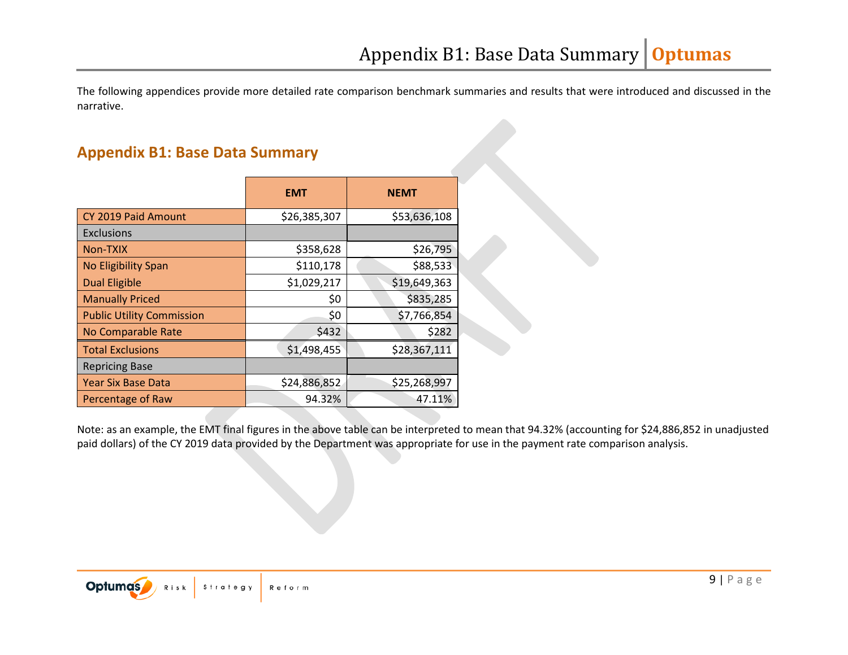The following appendices provide more detailed rate comparison benchmark summaries and results that were introduced and discussed in the narrative.

### **Appendix B1: Base Data Summary**

|                                  | <b>EMT</b>   | <b>NEMT</b>  |
|----------------------------------|--------------|--------------|
| CY 2019 Paid Amount              | \$26,385,307 | \$53,636,108 |
| <b>Exclusions</b>                |              |              |
| Non-TXIX                         | \$358,628    | \$26,795     |
| No Eligibility Span              | \$110,178    | \$88,533     |
| <b>Dual Eligible</b>             | \$1,029,217  | \$19,649,363 |
| <b>Manually Priced</b>           | \$0          | \$835,285    |
| <b>Public Utility Commission</b> | \$0          | \$7,766,854  |
| No Comparable Rate               | \$432        | \$282        |
| <b>Total Exclusions</b>          | \$1,498,455  | \$28,367,111 |
| <b>Repricing Base</b>            |              |              |
| <b>Year Six Base Data</b>        | \$24,886,852 | \$25,268,997 |
| Percentage of Raw                | 94.32%       | 47.11%       |

Note: as an example, the EMT final figures in the above table can be interpreted to mean that 94.32% (accounting for \$24,886,852 in unadjusted paid dollars) of the CY 2019 data provided by the Department was appropriate for use in the payment rate comparison analysis.

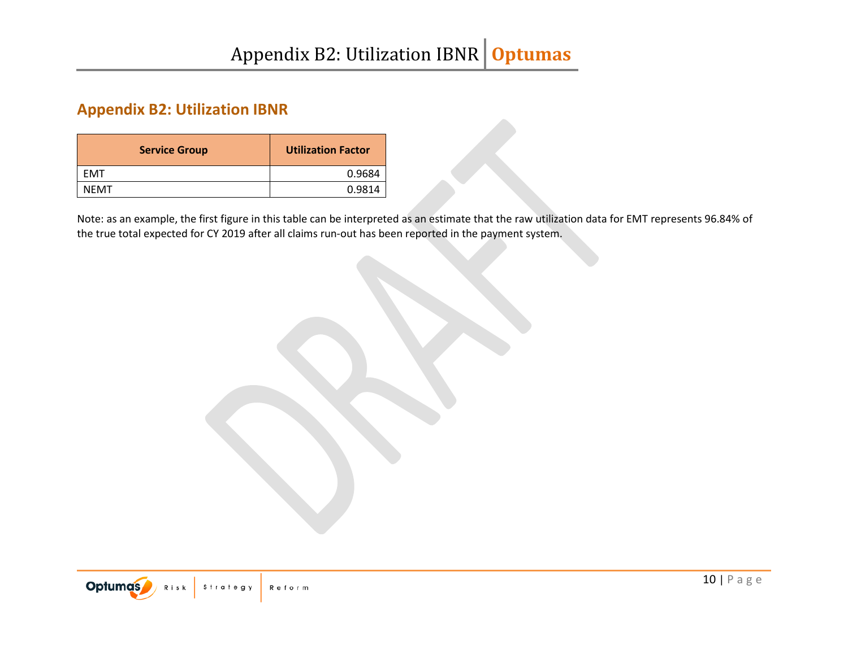# **Appendix B2: Utilization IBNR**

| <b>Service Group</b> | <b>Utilization Factor</b> |
|----------------------|---------------------------|
| <b>FMT</b>           | 0.9684                    |
| <b>NFMT</b>          | 0.9814                    |

Note: as an example, the first figure in this table can be interpreted as an estimate that the raw utilization data for EMT represents 96.84% of the true total expected for CY 2019 after all claims run-out has been reported in the payment system.

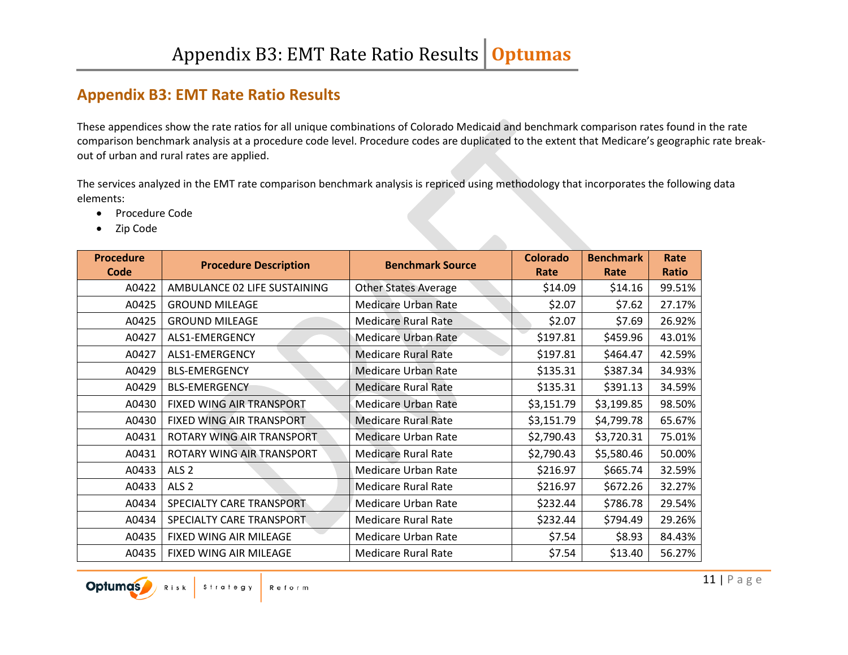## **Appendix B3: EMT Rate Ratio Results**

These appendices show the rate ratios for all unique combinations of Colorado Medicaid and benchmark comparison rates found in the rate comparison benchmark analysis at a procedure code level. Procedure codes are duplicated to the extent that Medicare's geographic rate breakout of urban and rural rates are applied.

The services analyzed in the EMT rate comparison benchmark analysis is repriced using methodology that incorporates the following data elements:

- Procedure Code
- Zip Code

| <b>Procedure</b><br>Code | <b>Procedure Description</b> | <b>Benchmark Source</b>     | <b>Colorado</b><br>Rate | <b>Benchmark</b><br>Rate | Rate<br><b>Ratio</b> |
|--------------------------|------------------------------|-----------------------------|-------------------------|--------------------------|----------------------|
| A0422                    | AMBULANCE 02 LIFE SUSTAINING | <b>Other States Average</b> | \$14.09                 | \$14.16                  | 99.51%               |
| A0425                    | <b>GROUND MILEAGE</b>        | <b>Medicare Urban Rate</b>  | \$2.07                  | \$7.62                   | 27.17%               |
| A0425                    | <b>GROUND MILEAGE</b>        | <b>Medicare Rural Rate</b>  | \$2.07                  | \$7.69                   | 26.92%               |
| A0427                    | ALS1-EMERGENCY               | Medicare Urban Rate         | \$197.81                | \$459.96                 | 43.01%               |
| A0427                    | ALS1-EMERGENCY               | <b>Medicare Rural Rate</b>  | \$197.81                | \$464.47                 | 42.59%               |
| A0429                    | <b>BLS-EMERGENCY</b>         | <b>Medicare Urban Rate</b>  | \$135.31                | \$387.34                 | 34.93%               |
| A0429                    | <b>BLS-EMERGENCY</b>         | <b>Medicare Rural Rate</b>  | \$135.31                | \$391.13                 | 34.59%               |
| A0430                    | FIXED WING AIR TRANSPORT     | <b>Medicare Urban Rate</b>  | \$3,151.79              | \$3,199.85               | 98.50%               |
| A0430                    | FIXED WING AIR TRANSPORT     | <b>Medicare Rural Rate</b>  | \$3,151.79              | \$4,799.78               | 65.67%               |
| A0431                    | ROTARY WING AIR TRANSPORT    | <b>Medicare Urban Rate</b>  | \$2,790.43              | \$3,720.31               | 75.01%               |
| A0431                    | ROTARY WING AIR TRANSPORT    | <b>Medicare Rural Rate</b>  | \$2,790.43              | \$5,580.46               | 50.00%               |
| A0433                    | ALS <sub>2</sub>             | <b>Medicare Urban Rate</b>  | \$216.97                | \$665.74                 | 32.59%               |
| A0433                    | ALS <sub>2</sub>             | <b>Medicare Rural Rate</b>  | \$216.97                | \$672.26                 | 32.27%               |
| A0434                    | SPECIALTY CARE TRANSPORT     | <b>Medicare Urban Rate</b>  | \$232.44                | \$786.78                 | 29.54%               |
| A0434                    | SPECIALTY CARE TRANSPORT     | <b>Medicare Rural Rate</b>  | \$232.44                | \$794.49                 | 29.26%               |
| A0435                    | FIXED WING AIR MILEAGE       | <b>Medicare Urban Rate</b>  | \$7.54                  | \$8.93                   | 84.43%               |
| A0435                    | FIXED WING AIR MILEAGE       | <b>Medicare Rural Rate</b>  | \$7.54                  | \$13.40                  | 56.27%               |

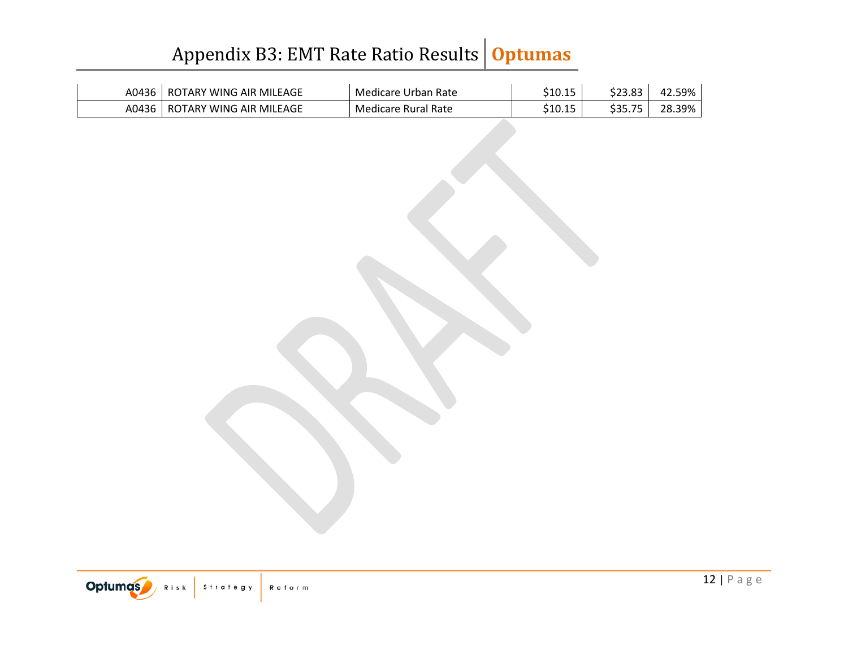# Appendix B3: EMT Rate Ratio Results **Optumas**

| A0436 | ' WING AIR MILEAGE<br>$R^{\sim}$<br>OTARY | Medicare Urban Rate | <b>ሶ</b> 4 ሰ 4 ጦ<br>כדיחדכ | ८२२ २२ | 59%       |
|-------|-------------------------------------------|---------------------|----------------------------|--------|-----------|
| A0436 | ROTARY WING AIR MILEAGE                   | Medicare Rural Rate | 21N 15<br>כדיחדכ           | Ant 75 | 39%<br>າຂ |

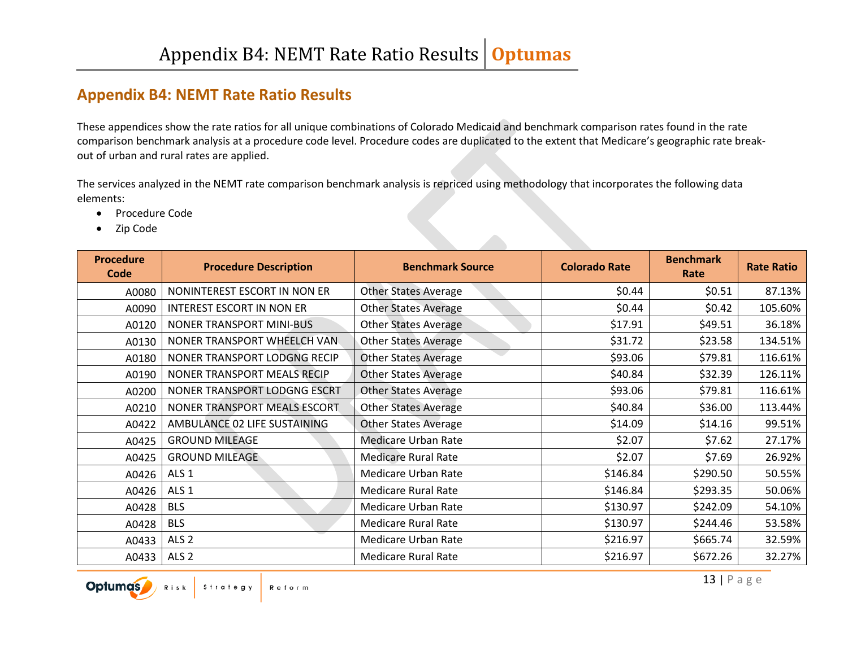## **Appendix B4: NEMT Rate Ratio Results**

These appendices show the rate ratios for all unique combinations of Colorado Medicaid and benchmark comparison rates found in the rate comparison benchmark analysis at a procedure code level. Procedure codes are duplicated to the extent that Medicare's geographic rate breakout of urban and rural rates are applied.

The services analyzed in the NEMT rate comparison benchmark analysis is repriced using methodology that incorporates the following data elements:

- Procedure Code
- Zip Code

| <b>Procedure</b><br>Code | <b>Procedure Description</b>     | <b>Benchmark Source</b>     | <b>Colorado Rate</b> | <b>Benchmark</b><br>Rate | <b>Rate Ratio</b> |
|--------------------------|----------------------------------|-----------------------------|----------------------|--------------------------|-------------------|
| A0080                    | NONINTEREST ESCORT IN NON ER     | <b>Other States Average</b> | \$0.44               | \$0.51                   | 87.13%            |
| A0090                    | <b>INTEREST ESCORT IN NON ER</b> | <b>Other States Average</b> | \$0.44               | \$0.42                   | 105.60%           |
| A0120                    | NONER TRANSPORT MINI-BUS         | <b>Other States Average</b> | \$17.91              | \$49.51                  | 36.18%            |
| A0130                    | NONER TRANSPORT WHEELCH VAN.     | <b>Other States Average</b> | \$31.72              | \$23.58                  | 134.51%           |
| A0180                    | NONER TRANSPORT LODGNG RECIP     | <b>Other States Average</b> | \$93.06              | \$79.81                  | 116.61%           |
| A0190                    | NONER TRANSPORT MEALS RECIP      | <b>Other States Average</b> | \$40.84              | \$32.39                  | 126.11%           |
| A0200                    | NONER TRANSPORT LODGNG ESCRT     | <b>Other States Average</b> | \$93.06              | \$79.81                  | 116.61%           |
| A0210                    | NONER TRANSPORT MEALS ESCORT     | <b>Other States Average</b> | \$40.84              | \$36.00                  | 113.44%           |
| A0422                    | AMBULANCE 02 LIFE SUSTAINING     | <b>Other States Average</b> | \$14.09              | \$14.16                  | 99.51%            |
| A0425                    | <b>GROUND MILEAGE</b>            | Medicare Urban Rate         | \$2.07               | \$7.62                   | 27.17%            |
| A0425                    | <b>GROUND MILEAGE</b>            | <b>Medicare Rural Rate</b>  | \$2.07               | \$7.69                   | 26.92%            |
| A0426                    | ALS <sub>1</sub>                 | <b>Medicare Urban Rate</b>  | \$146.84             | \$290.50                 | 50.55%            |
| A0426                    | ALS <sub>1</sub>                 | <b>Medicare Rural Rate</b>  | \$146.84             | \$293.35                 | 50.06%            |
| A0428                    | <b>BLS</b>                       | <b>Medicare Urban Rate</b>  | \$130.97             | \$242.09                 | 54.10%            |
| A0428                    | <b>BLS</b>                       | <b>Medicare Rural Rate</b>  | \$130.97             | \$244.46                 | 53.58%            |
| A0433                    | ALS <sub>2</sub>                 | <b>Medicare Urban Rate</b>  | \$216.97             | \$665.74                 | 32.59%            |
| A0433                    | ALS <sub>2</sub>                 | <b>Medicare Rural Rate</b>  | \$216.97             | \$672.26                 | 32.27%            |